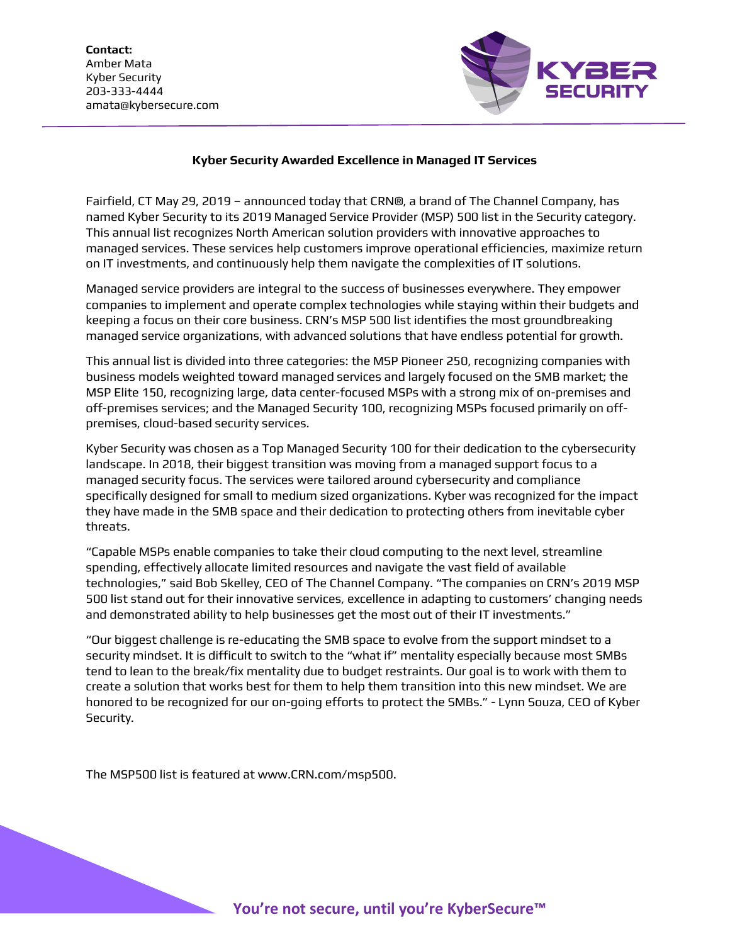**Contact:** Amber Mata Kyber Security 203-333-4444 amata@kybersecure.com



## **Kyber Security Awarded Excellence in Managed IT Services**

Fairfield, CT May 29, 2019 – announced today that CRN®, a brand of The Channel Company, has named Kyber Security to its 2019 Managed Service Provider (MSP) 500 list in the Security category. This annual list recognizes North American solution providers with innovative approaches to managed services. These services help customers improve operational efficiencies, maximize return on IT investments, and continuously help them navigate the complexities of IT solutions.

Managed service providers are integral to the success of businesses everywhere. They empower companies to implement and operate complex technologies while staying within their budgets and keeping a focus on their core business. CRN's MSP 500 list identifies the most groundbreaking managed service organizations, with advanced solutions that have endless potential for growth.

This annual list is divided into three categories: the MSP Pioneer 250, recognizing companies with business models weighted toward managed services and largely focused on the SMB market; the MSP Elite 150, recognizing large, data center-focused MSPs with a strong mix of on-premises and off-premises services; and the Managed Security 100, recognizing MSPs focused primarily on offpremises, cloud-based security services.

Kyber Security was chosen as a Top Managed Security 100 for their dedication to the cybersecurity landscape. In 2018, their biggest transition was moving from a managed support focus to a managed security focus. The services were tailored around cybersecurity and compliance specifically designed for small to medium sized organizations. Kyber was recognized for the impact they have made in the SMB space and their dedication to protecting others from inevitable cyber threats.

"Capable MSPs enable companies to take their cloud computing to the next level, streamline spending, effectively allocate limited resources and navigate the vast field of available technologies," said Bob Skelley, CEO of The Channel Company. "The companies on CRN's 2019 MSP 500 list stand out for their innovative services, excellence in adapting to customers' changing needs and demonstrated ability to help businesses get the most out of their IT investments."

"Our biggest challenge is re-educating the SMB space to evolve from the support mindset to a security mindset. It is difficult to switch to the "what if" mentality especially because most SMBs tend to lean to the break/fix mentality due to budget restraints. Our goal is to work with them to create a solution that works best for them to help them transition into this new mindset. We are honored to be recognized for our on-going efforts to protect the SMBs." - Lynn Souza, CEO of Kyber Security.

The MSP500 list is featured at www.CRN.com/msp500.